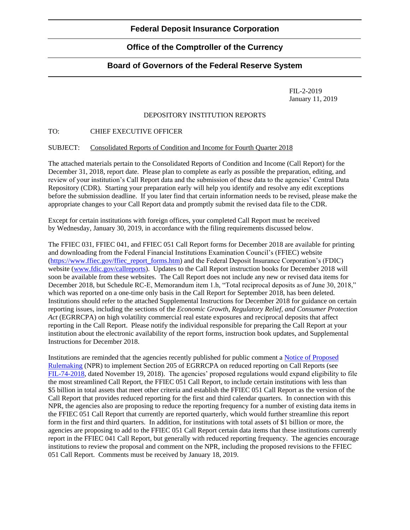# **Office of the Comptroller of the Currency**

## **Board of Governors of the Federal Reserve System**

FIL-2-2019 January 11, 2019

### DEPOSITORY INSTITUTION REPORTS

### TO: CHIEF EXECUTIVE OFFICER

#### SUBJECT: Consolidated Reports of Condition and Income for Fourth Quarter 2018

The attached materials pertain to the Consolidated Reports of Condition and Income (Call Report) for the December 31, 2018, report date. Please plan to complete as early as possible the preparation, editing, and review of your institution's Call Report data and the submission of these data to the agencies' Central Data Repository (CDR). Starting your preparation early will help you identify and resolve any edit exceptions before the submission deadline. If you later find that certain information needs to be revised, please make the appropriate changes to your Call Report data and promptly submit the revised data file to the CDR.

Except for certain institutions with foreign offices, your completed Call Report must be received by Wednesday, January 30, 2019, in accordance with the filing requirements discussed below.

The FFIEC 031, FFIEC 041, and FFIEC 051 Call Report forms for December 2018 are available for printing and downloading from the Federal Financial Institutions Examination Council's (FFIEC) website [\(https://www.ffiec.gov/ffiec\\_report\\_forms.htm\)](https://www.ffiec.gov/ffiec_report_forms.htm) and the Federal Deposit Insurance Corporation's (FDIC) website [\(www.fdic.gov/callreports\)](https://www.fdic.gov/callreports). Updates to the Call Report instruction books for December 2018 will soon be available from these websites. The Call Report does not include any new or revised data items for December 2018, but Schedule RC-E, Memorandum item 1.h, "Total reciprocal deposits as of June 30, 2018," which was reported on a one-time only basis in the Call Report for September 2018, has been deleted. Institutions should refer to the attached Supplemental Instructions for December 2018 for guidance on certain reporting issues, including the sections of the *Economic Growth, Regulatory Relief, and Consumer Protection Act* (EGRRCPA) on high volatility commercial real estate exposures and reciprocal deposits that affect reporting in the Call Report. Please notify the individual responsible for preparing the Call Report at your institution about the electronic availability of the report forms, instruction book updates, and Supplemental Instructions for December 2018.

Institutions are reminded that the agencies recently published for public comment a [Notice of Proposed](https://www.govinfo.gov/content/pkg/FR-2018-11-19/pdf/2018-24587.pdf)  [Rulemaking](https://www.govinfo.gov/content/pkg/FR-2018-11-19/pdf/2018-24587.pdf) (NPR) to implement Section 205 of EGRRCPA on reduced reporting on Call Reports (see [FIL-74-2018,](https://www.fdic.gov/news/news/financial/2018/fil18074.html) dated November 19, 2018). The agencies' proposed regulations would expand eligibility to file the most streamlined Call Report, the FFIEC 051 Call Report, to include certain institutions with less than \$5 billion in total assets that meet other criteria and establish the FFIEC 051 Call Report as the version of the Call Report that provides reduced reporting for the first and third calendar quarters. In connection with this NPR, the agencies also are proposing to reduce the reporting frequency for a number of existing data items in the FFIEC 051 Call Report that currently are reported quarterly, which would further streamline this report form in the first and third quarters. In addition, for institutions with total assets of \$1 billion or more, the agencies are proposing to add to the FFIEC 051 Call Report certain data items that these institutions currently report in the FFIEC 041 Call Report, but generally with reduced reporting frequency. The agencies encourage institutions to review the proposal and comment on the NPR, including the proposed revisions to the FFIEC 051 Call Report. Comments must be received by January 18, 2019.